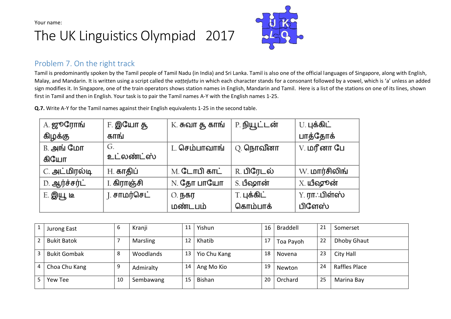# The UK Linguistics Olympiad 2017



#### Problem 7. On the right track

Tamil is predominantly spoken by the Tamil people of Tamil Nadu (in India) and Sri Lanka. Tamil is also one of the official languages of Singapore, along with English, Malay, and Mandarin. It is written using a script called the *vaṭṭeḷuttu* in which each character stands for a consonant followed by a vowel, which is 'a' unless an added sign modifies it. In Singapore, one of the train operators shows station names in English, Mandarin and Tamil. Here is a list of the stations on one of its lines, shown first in Tamil and then in English. Your task is to pair the Tamil names A-Y with the English names 1-25.

**Q.7.** Write A-Y for the Tamil names against their English equivalents 1-25 in the second table.

| A. ஜூரோங்     | F. <b>இயோ த</b>  | K. சுவா தூ காங் | P. நியூட்டன்     | U. புக்கிட்           |
|---------------|------------------|-----------------|------------------|-----------------------|
| கிழக்கு       | காங்             |                 |                  | பாத்தோக்              |
| B. அங் மோ     | G.               | L. செம்பாவாங்   | Q. <b>நொவீனா</b> | V. <b>மரீனா பே</b>    |
| கியோ          | உட்லண்ட்ஸ்       |                 |                  |                       |
| C. அட்மிரல்டி | H. <b>காதிப்</b> | M. டோபி காட்    | R. பிரேடல்       | W. <b>மார்சிலிங்</b>  |
| D. ஆர்ச்சர்ட் | I. கிராஞ்சி      | N. தோ பாயோ      | S. பீஷான்        | X. யீஷூன்             |
| E. இயூ டீ     | ⊺. சாமர்செட்     | 0. நகர          | T. புக்கிட்      | Y. <b>ரா</b> ்.பிள்ஸ் |
|               |                  | மண்டபம்         | கொம்பாக்         | பிளேஸ்                |

|                          | Jurong East         | b  | Kranji    | 11 | Yishun        | 16 l | Braddell  | 21 | Somerset           |
|--------------------------|---------------------|----|-----------|----|---------------|------|-----------|----|--------------------|
| $\overline{\phantom{0}}$ | <b>Bukit Batok</b>  |    | Marsling  | 12 | Khatib        | 17   | Toa Payoh | 22 | <b>Dhoby Ghaut</b> |
|                          | <b>Bukit Gombak</b> | 8  | Woodlands | 13 | Yio Chu Kang  | 18   | Novena    | 23 | City Hall          |
|                          | Choa Chu Kang       | q  | Admiralty | 14 | Ang Mo Kio    | 19   | Newton    | 24 | Raffles Place      |
|                          | Yew Tee             | 10 | Sembawang | 15 | <b>Bishan</b> | 20   | Orchard   | 25 | Marina Bay         |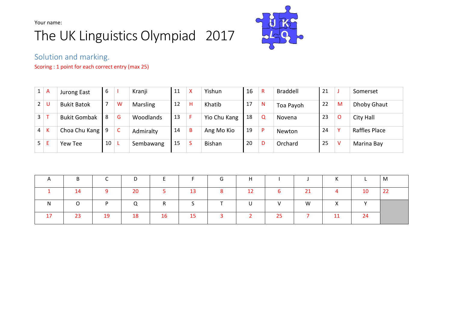## The UK Linguistics Olympiad 2017



Solution and marking.

Scoring : 1 point for each correct entry (max 25)

| 1 <sup>1</sup> | A   | Jurong East              | 6              |   | Kranji          | 11 | X | Yishun        | 16 | R            | Braddell  | 21 |         | Somerset      |
|----------------|-----|--------------------------|----------------|---|-----------------|----|---|---------------|----|--------------|-----------|----|---------|---------------|
| 2 <sup>1</sup> |     | <b>Bukit Batok</b>       | $\overline{7}$ | W | <b>Marsling</b> | 12 | H | Khatib        | 17 | $\mathsf{N}$ | Toa Payoh | 22 | M       | Dhoby Ghaut   |
| $\mathbf{3}$   |     | <b>Bukit Gombak</b>      | l 8            | G | Woodlands       | 13 |   | Yio Chu Kang  | 18 | Q            | Novena    | 23 | $\circ$ | City Hall     |
| 4 <sup>1</sup> | K   | Choa Chu Kang $\sqrt{9}$ |                | C | Admiralty       | 14 | B | Ang Mo Kio    | 19 | P            | Newton    | 24 | v       | Raffles Place |
|                | 5 E | Yew Tee                  | 10             |   | Sembawang       | 15 | Ъ | <b>Bishan</b> | 20 | D            | Orchard   | 25 | V       | Marina Bay    |

| B.  |    | D         | <b>E</b> |    | G            | H            |    |          | K              |              | M  |
|-----|----|-----------|----------|----|--------------|--------------|----|----------|----------------|--------------|----|
| 14  |    | <b>20</b> | 5.       | 13 | 8            | 12           | 6  | 21       | $\overline{4}$ | 10           | 22 |
|     | D. | $\Omega$  | R.       |    |              | $\mathbf{U}$ | V  | <b>W</b> | $\mathsf{X}$   | $\mathbf{v}$ |    |
| -23 | 19 | <b>18</b> | 16       | 15 | $\mathbf{3}$ |              | 25 |          | 11             | 24           |    |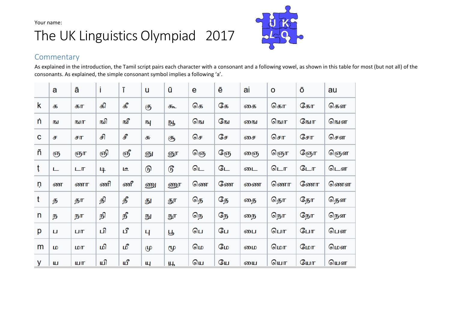#### The UK Linguistics Olympiad 2017



#### **Commentary**

As explained in the introduction, the Tamil script pairs each character with a consonant and a following vowel, as shown in this table for most (but not all) of the consonants. As explained, the simple consonant symbol implies a following 'a'.

|   | a | ā   | İ  | ī  | u  | ū  | е  | ē  | ai | o  | ō  | au |
|---|---|-----|----|----|----|----|----|----|----|----|----|----|
| k | க | கா  | கி | கீ | கு | கூ | கெ | கே | கை | கொ | கோ | கௌ |
| ń | ы | நுர | ஙி | நி | 呌  | 卧  | நெ | நே | நை | நொ | நோ | ஙௌ |
| C | ச | சா  | சி | £  | சு | சூ | செ | சே | சை | சொ | சோ | சௌ |
| ñ | ஞ | ஞா  | ஞி | ஞீ | ஞு | ஞூ | ஞெ | ஞே | ணு | ஞொ | ஞோ | ஞௌ |
| ţ | ட | டா  | டி | டீ | டு | டு | டெ | டே | டை | டொ | டோ | டௌ |
|   |   |     |    |    |    |    |    |    |    |    |    |    |
| ņ | ண | ணா  | ணி | ணீ | ணு | ணூ | ணெ | ணே | ணை | ணொ | ணோ | ணௌ |
| t | த | தா  | தி | தீ | து | தூ | தெ | தே | தை | தொ | தோ | தௌ |
| n | ந | நா  | நி | நீ | நு | நூ | நெ | நே | நை | நொ | நோ | நௌ |
| p | П | பா  | பி | பீ | 4  | Р  | பெ | பே | பை | பொ | போ | பௌ |
| m | Б | மா  | மி | மீ | மு | மூ | மெ | மே | மை | மொ | மோ | மௌ |